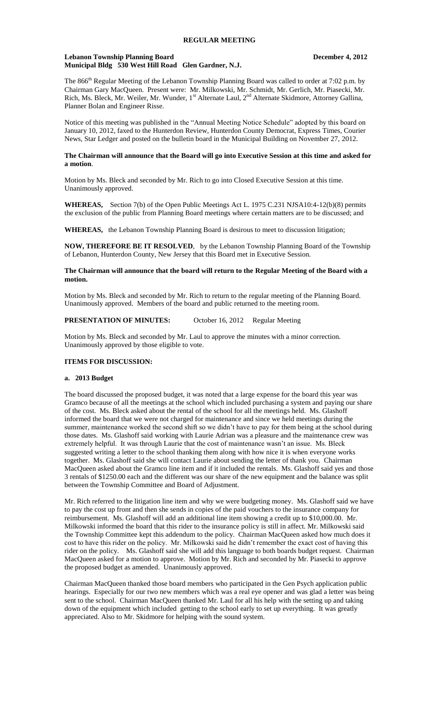#### **Lebanon Township Planning Board December 4, 2012 Municipal Bldg 530 West Hill Road Glen Gardner, N.J.**

The 866<sup>th</sup> Regular Meeting of the Lebanon Township Planning Board was called to order at 7:02 p.m. by Chairman Gary MacQueen. Present were: Mr. Milkowski, Mr. Schmidt, Mr. Gerlich, Mr. Piasecki, Mr. Rich, Ms. Bleck, Mr. Weiler, Mr. Wunder, 1<sup>st</sup> Alternate Laul, 2<sup>nd</sup> Alternate Skidmore, Attorney Gallina, Planner Bolan and Engineer Risse.

Notice of this meeting was published in the "Annual Meeting Notice Schedule" adopted by this board on January 10, 2012, faxed to the Hunterdon Review, Hunterdon County Democrat, Express Times, Courier News, Star Ledger and posted on the bulletin board in the Municipal Building on November 27, 2012.

## **The Chairman will announce that the Board will go into Executive Session at this time and asked for a motion**.

Motion by Ms. Bleck and seconded by Mr. Rich to go into Closed Executive Session at this time. Unanimously approved.

**WHEREAS,** Section 7(b) of the Open Public Meetings Act L. 1975 C.231 NJSA10:4-12(b)(8) permits the exclusion of the public from Planning Board meetings where certain matters are to be discussed; and

**WHEREAS,** the Lebanon Township Planning Board is desirous to meet to discussion litigation;

**NOW, THEREFORE BE IT RESOLVED**, by the Lebanon Township Planning Board of the Township of Lebanon, Hunterdon County, New Jersey that this Board met in Executive Session.

## **The Chairman will announce that the board will return to the Regular Meeting of the Board with a motion.**

Motion by Ms. Bleck and seconded by Mr. Rich to return to the regular meeting of the Planning Board. Unanimously approved. Members of the board and public returned to the meeting room.

## **PRESENTATION OF MINUTES:** October 16, 2012 Regular Meeting

Motion by Ms. Bleck and seconded by Mr. Laul to approve the minutes with a minor correction. Unanimously approved by those eligible to vote.

## **ITEMS FOR DISCUSSION:**

#### **a. 2013 Budget**

The board discussed the proposed budget, it was noted that a large expense for the board this year was Gramco because of all the meetings at the school which included purchasing a system and paying our share of the cost. Ms. Bleck asked about the rental of the school for all the meetings held. Ms. Glashoff informed the board that we were not charged for maintenance and since we held meetings during the summer, maintenance worked the second shift so we didn't have to pay for them being at the school during those dates. Ms. Glashoff said working with Laurie Adrian was a pleasure and the maintenance crew was extremely helpful. It was through Laurie that the cost of maintenance wasn't an issue. Ms. Bleck suggested writing a letter to the school thanking them along with how nice it is when everyone works together. Ms. Glashoff said she will contact Laurie about sending the letter of thank you. Chairman MacQueen asked about the Gramco line item and if it included the rentals. Ms. Glashoff said yes and those 3 rentals of \$1250.00 each and the different was our share of the new equipment and the balance was split between the Township Committee and Board of Adjustment.

Mr. Rich referred to the litigation line item and why we were budgeting money. Ms. Glashoff said we have to pay the cost up front and then she sends in copies of the paid vouchers to the insurance company for reimbursement. Ms. Glashoff will add an additional line item showing a credit up to \$10,000.00. Mr. Milkowski informed the board that this rider to the insurance policy is still in affect. Mr. Milkowski said the Township Committee kept this addendum to the policy. Chairman MacQueen asked how much does it cost to have this rider on the policy. Mr. Milkowski said he didn't remember the exact cost of having this rider on the policy. Ms. Glashoff said she will add this language to both boards budget request. Chairman MacQueen asked for a motion to approve. Motion by Mr. Rich and seconded by Mr. Piasecki to approve the proposed budget as amended. Unanimously approved.

Chairman MacQueen thanked those board members who participated in the Gen Psych application public hearings. Especially for our two new members which was a real eye opener and was glad a letter was being sent to the school. Chairman MacQueen thanked Mr. Laul for all his help with the setting up and taking down of the equipment which included getting to the school early to set up everything. It was greatly appreciated. Also to Mr. Skidmore for helping with the sound system.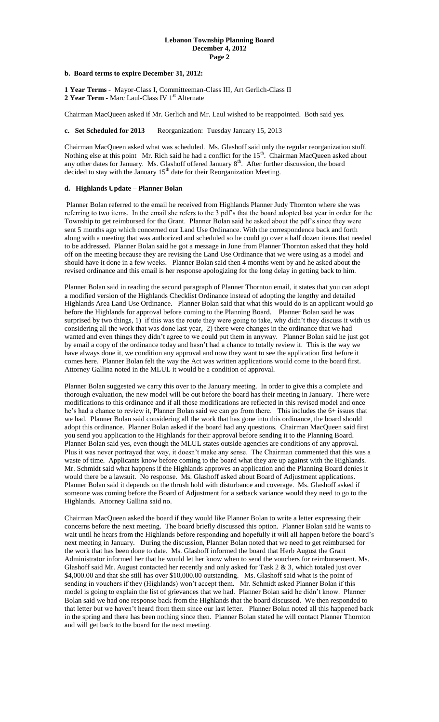## **b. Board terms to expire December 31, 2012:**

**1 Year Terms** - Mayor-Class I, Committeeman-Class III, Art Gerlich-Class II 2 Year Term - Marc Laul-Class IV 1<sup>st</sup> Alternate

Chairman MacQueen asked if Mr. Gerlich and Mr. Laul wished to be reappointed. Both said yes.

#### **c.** Set Scheduled for 2013 Reorganization: Tuesday January 15, 2013

Chairman MacQueen asked what was scheduled. Ms. Glashoff said only the regular reorganization stuff. Nothing else at this point Mr. Rich said he had a conflict for the  $15<sup>th</sup>$ . Chairman MacQueen asked about any other dates for January. Ms. Glashoff offered January  $8<sup>th</sup>$ . After further discussion, the board decided to stay with the January 15<sup>th</sup> date for their Reorganization Meeting.

## **d. Highlands Update – Planner Bolan**

Planner Bolan referred to the email he received from Highlands Planner Judy Thornton where she was referring to two items. In the email she refers to the 3 pdf's that the board adopted last year in order for the Township to get reimbursed for the Grant. Planner Bolan said he asked about the pdf's since they were sent 5 months ago which concerned our Land Use Ordinance. With the correspondence back and forth along with a meeting that was authorized and scheduled so he could go over a half dozen items that needed to be addressed. Planner Bolan said he got a message in June from Planner Thornton asked that they hold off on the meeting because they are revising the Land Use Ordinance that we were using as a model and should have it done in a few weeks. Planner Bolan said then 4 months went by and he asked about the revised ordinance and this email is her response apologizing for the long delay in getting back to him.

Planner Bolan said in reading the second paragraph of Planner Thornton email, it states that you can adopt a modified version of the Highlands Checklist Ordinance instead of adopting the lengthy and detailed Highlands Area Land Use Ordinance. Planner Bolan said that what this would do is an applicant would go before the Highlands for approval before coming to the Planning Board. Planner Bolan said he was surprised by two things, 1) if this was the route they were going to take, why didn't they discuss it with us considering all the work that was done last year, 2) there were changes in the ordinance that we had wanted and even things they didn't agree to we could put them in anyway. Planner Bolan said he just got by email a copy of the ordinance today and hasn't had a chance to totally review it. This is the way we have always done it, we condition any approval and now they want to see the application first before it comes here. Planner Bolan felt the way the Act was written applications would come to the board first. Attorney Gallina noted in the MLUL it would be a condition of approval.

Planner Bolan suggested we carry this over to the January meeting. In order to give this a complete and thorough evaluation, the new model will be out before the board has their meeting in January. There were modifications to this ordinance and if all those modifications are reflected in this revised model and once he's had a chance to review it, Planner Bolan said we can go from there. This includes the 6+ issues that we had. Planner Bolan said considering all the work that has gone into this ordinance, the board should adopt this ordinance. Planner Bolan asked if the board had any questions. Chairman MacQueen said first you send you application to the Highlands for their approval before sending it to the Planning Board. Planner Bolan said yes, even though the MLUL states outside agencies are conditions of any approval. Plus it was never portrayed that way, it doesn't make any sense. The Chairman commented that this was a waste of time. Applicants know before coming to the board what they are up against with the Highlands. Mr. Schmidt said what happens if the Highlands approves an application and the Planning Board denies it would there be a lawsuit. No response. Ms. Glashoff asked about Board of Adjustment applications. Planner Bolan said it depends on the thrush hold with disturbance and coverage. Ms. Glashoff asked if someone was coming before the Board of Adjustment for a setback variance would they need to go to the Highlands. Attorney Gallina said no.

Chairman MacQueen asked the board if they would like Planner Bolan to write a letter expressing their concerns before the next meeting. The board briefly discussed this option. Planner Bolan said he wants to wait until he hears from the Highlands before responding and hopefully it will all happen before the board's next meeting in January. During the discussion, Planner Bolan noted that we need to get reimbursed for the work that has been done to date. Ms. Glashoff informed the board that Herb August the Grant Administrator informed her that he would let her know when to send the vouchers for reimbursement. Ms. Glashoff said Mr. August contacted her recently and only asked for Task 2 & 3, which totaled just over \$4,000.00 and that she still has over \$10,000.00 outstanding. Ms. Glashoff said what is the point of sending in vouchers if they (Highlands) won't accept them. Mr. Schmidt asked Planner Bolan if this model is going to explain the list of grievances that we had. Planner Bolan said he didn't know. Planner Bolan said we had one response back from the Highlands that the board discussed. We then responded to that letter but we haven't heard from them since our last letter. Planner Bolan noted all this happened back in the spring and there has been nothing since then. Planner Bolan stated he will contact Planner Thornton and will get back to the board for the next meeting.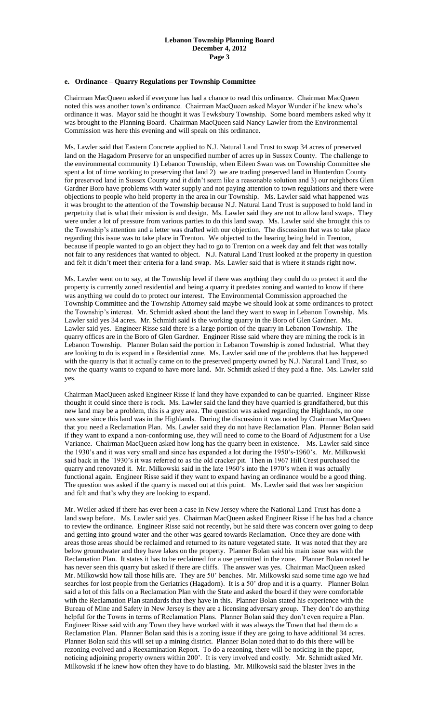## **e. Ordinance – Quarry Regulations per Township Committee**

Chairman MacQueen asked if everyone has had a chance to read this ordinance. Chairman MacQueen noted this was another town's ordinance. Chairman MacQueen asked Mayor Wunder if he knew who's ordinance it was. Mayor said he thought it was Tewksbury Township. Some board members asked why it was brought to the Planning Board. Chairman MacQueen said Nancy Lawler from the Environmental Commission was here this evening and will speak on this ordinance.

Ms. Lawler said that Eastern Concrete applied to N.J. Natural Land Trust to swap 34 acres of preserved land on the Hagadorn Preserve for an unspecified number of acres up in Sussex County. The challenge to the environmental community 1) Lebanon Township, when Eileen Swan was on Township Committee she spent a lot of time working to preserving that land 2) we are trading preserved land in Hunterdon County for preserved land in Sussex County and it didn't seem like a reasonable solution and 3) our neighbors Glen Gardner Boro have problems with water supply and not paying attention to town regulations and there were objections to people who held property in the area in our Township. Ms. Lawler said what happened was it was brought to the attention of the Township because N.J. Natural Land Trust is supposed to hold land in perpetuity that is what their mission is and design. Ms. Lawler said they are not to allow land swaps. They were under a lot of pressure from various parties to do this land swap. Ms. Lawler said she brought this to the Township's attention and a letter was drafted with our objection. The discussion that was to take place regarding this issue was to take place in Trenton. We objected to the hearing being held in Trenton, because if people wanted to go an object they had to go to Trenton on a week day and felt that was totally not fair to any residences that wanted to object. N.J. Natural Land Trust looked at the property in question and felt it didn't meet their criteria for a land swap. Ms. Lawler said that is where it stands right now.

Ms. Lawler went on to say, at the Township level if there was anything they could do to protect it and the property is currently zoned residential and being a quarry it predates zoning and wanted to know if there was anything we could do to protect our interest. The Environmental Commission approached the Township Committee and the Township Attorney said maybe we should look at some ordinances to protect the Township's interest. Mr. Schmidt asked about the land they want to swap in Lebanon Township. Ms. Lawler said yes 34 acres. Mr. Schmidt said is the working quarry in the Boro of Glen Gardner. Ms. Lawler said yes. Engineer Risse said there is a large portion of the quarry in Lebanon Township. The quarry offices are in the Boro of Glen Gardner. Engineer Risse said where they are mining the rock is in Lebanon Township. Planner Bolan said the portion in Lebanon Township is zoned Industrial. What they are looking to do is expand in a Residential zone. Ms. Lawler said one of the problems that has happened with the quarry is that it actually came on to the preserved property owned by N.J. Natural Land Trust, so now the quarry wants to expand to have more land. Mr. Schmidt asked if they paid a fine. Ms. Lawler said yes.

Chairman MacQueen asked Engineer Risse if land they have expanded to can be quarried. Engineer Risse thought it could since there is rock. Ms. Lawler said the land they have quarried is grandfathered, but this new land may be a problem, this is a grey area. The question was asked regarding the Highlands, no one was sure since this land was in the Highlands. During the discussion it was noted by Chairman MacQueen that you need a Reclamation Plan. Ms. Lawler said they do not have Reclamation Plan. Planner Bolan said if they want to expand a non-conforming use, they will need to come to the Board of Adjustment for a Use Variance. Chairman MacQueen asked how long has the quarry been in existence. Ms. Lawler said since the 1930's and it was very small and since has expanded a lot during the 1950's-1960's. Mr. Milkowski said back in the `1930's it was referred to as the old cracker pit. Then in 1967 Hill Crest purchased the quarry and renovated it. Mr. Milkowski said in the late 1960's into the 1970's when it was actually functional again. Engineer Risse said if they want to expand having an ordinance would be a good thing. The question was asked if the quarry is maxed out at this point. Ms. Lawler said that was her suspicion and felt and that's why they are looking to expand.

Mr. Weiler asked if there has ever been a case in New Jersey where the National Land Trust has done a land swap before. Ms. Lawler said yes. Chairman MacQueen asked Engineer Risse if he has had a chance to review the ordinance. Engineer Risse said not recently, but he said there was concern over going to deep and getting into ground water and the other was geared towards Reclamation. Once they are done with areas those areas should be reclaimed and returned to its nature vegetated state. It was noted that they are below groundwater and they have lakes on the property. Planner Bolan said his main issue was with the Reclamation Plan. It states it has to be reclaimed for a use permitted in the zone. Planner Bolan noted he has never seen this quarry but asked if there are cliffs. The answer was yes. Chairman MacQueen asked Mr. Milkowski how tall those hills are. They are 50' benches. Mr. Milkowski said some time ago we had searches for lost people from the Geriatrics (Hagadorn). It is a 50' drop and it is a quarry. Planner Bolan said a lot of this falls on a Reclamation Plan with the State and asked the board if they were comfortable with the Reclamation Plan standards that they have in this. Planner Bolan stated his experience with the Bureau of Mine and Safety in New Jersey is they are a licensing adversary group. They don't do anything helpful for the Towns in terms of Reclamation Plans. Planner Bolan said they don't even require a Plan. Engineer Risse said with any Town they have worked with it was always the Town that had them do a Reclamation Plan. Planner Bolan said this is a zoning issue if they are going to have additional 34 acres. Planner Bolan said this will set up a mining district. Planner Bolan noted that to do this there will be rezoning evolved and a Reexamination Report. To do a rezoning, there will be noticing in the paper, noticing adjoining property owners within 200'. It is very involved and costly. Mr. Schmidt asked Mr. Milkowski if he knew how often they have to do blasting. Mr. Milkowski said the blaster lives in the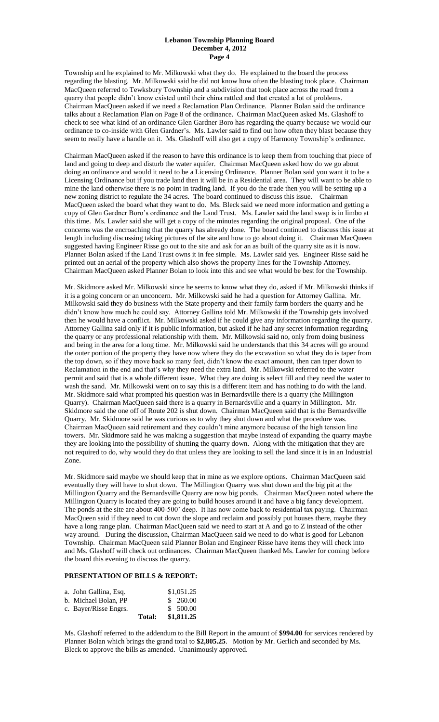Township and he explained to Mr. Milkowski what they do. He explained to the board the process regarding the blasting. Mr. Milkowski said he did not know how often the blasting took place. Chairman MacQueen referred to Tewksbury Township and a subdivision that took place across the road from a quarry that people didn't know existed until their china rattled and that created a lot of problems. Chairman MacQueen asked if we need a Reclamation Plan Ordinance. Planner Bolan said the ordinance talks about a Reclamation Plan on Page 8 of the ordinance. Chairman MacQueen asked Ms. Glashoff to check to see what kind of an ordinance Glen Gardner Boro has regarding the quarry because we would our ordinance to co-inside with Glen Gardner's. Ms. Lawler said to find out how often they blast because they seem to really have a handle on it. Ms. Glashoff will also get a copy of Harmony Township's ordinance.

Chairman MacQueen asked if the reason to have this ordinance is to keep them from touching that piece of land and going to deep and disturb the water aquifer. Chairman MacQueen asked how do we go about doing an ordinance and would it need to be a Licensing Ordinance. Planner Bolan said you want it to be a Licensing Ordinance but if you trade land then it will be in a Residential area. They will want to be able to mine the land otherwise there is no point in trading land. If you do the trade then you will be setting up a new zoning district to regulate the 34 acres. The board continued to discuss this issue. Chairman MacQueen asked the board what they want to do. Ms. Bleck said we need more information and getting a copy of Glen Gardner Boro's ordinance and the Land Trust. Ms. Lawler said the land swap is in limbo at this time. Ms. Lawler said she will get a copy of the minutes regarding the original proposal. One of the concerns was the encroaching that the quarry has already done. The board continued to discuss this issue at length including discussing taking pictures of the site and how to go about doing it. Chairman MacQueen suggested having Engineer Risse go out to the site and ask for an as built of the quarry site as it is now. Planner Bolan asked if the Land Trust owns it in fee simple. Ms. Lawler said yes. Engineer Risse said he printed out an aerial of the property which also shows the property lines for the Township Attorney. Chairman MacQueen asked Planner Bolan to look into this and see what would be best for the Township.

Mr. Skidmore asked Mr. Milkowski since he seems to know what they do, asked if Mr. Milkowski thinks if it is a going concern or an unconcern. Mr. Milkowski said he had a question for Attorney Gallina. Mr. Milkowski said they do business with the State property and their family farm borders the quarry and he didn't know how much he could say. Attorney Gallina told Mr. Milkowski if the Township gets involved then he would have a conflict. Mr. Milkowski asked if he could give any information regarding the quarry. Attorney Gallina said only if it is public information, but asked if he had any secret information regarding the quarry or any professional relationship with them. Mr. Milkowski said no, only from doing business and being in the area for a long time. Mr. Milkowski said he understands that this 34 acres will go around the outer portion of the property they have now where they do the excavation so what they do is taper from the top down, so if they move back so many feet, didn't know the exact amount, then can taper down to Reclamation in the end and that's why they need the extra land. Mr. Milkowski referred to the water permit and said that is a whole different issue. What they are doing is select fill and they need the water to wash the sand. Mr. Milkowski went on to say this is a different item and has nothing to do with the land. Mr. Skidmore said what prompted his question was in Bernardsville there is a quarry (the Millington Quarry). Chairman MacQueen said there is a quarry in Bernardsville and a quarry in Millington. Mr. Skidmore said the one off of Route 202 is shut down. Chairman MacQueen said that is the Bernardsville Quarry. Mr. Skidmore said he was curious as to why they shut down and what the procedure was. Chairman MacQueen said retirement and they couldn't mine anymore because of the high tension line towers. Mr. Skidmore said he was making a suggestion that maybe instead of expanding the quarry maybe they are looking into the possibility of shutting the quarry down. Along with the mitigation that they are not required to do, why would they do that unless they are looking to sell the land since it is in an Industrial Zone.

Mr. Skidmore said maybe we should keep that in mine as we explore options. Chairman MacQueen said eventually they will have to shut down. The Millington Quarry was shut down and the big pit at the Millington Quarry and the Bernardsville Quarry are now big ponds. Chairman MacQueen noted where the Millington Quarry is located they are going to build houses around it and have a big fancy development. The ponds at the site are about 400-500' deep. It has now come back to residential tax paying. Chairman MacQueen said if they need to cut down the slope and reclaim and possibly put houses there, maybe they have a long range plan. Chairman MacQueen said we need to start at A and go to Z instead of the other way around. During the discussion, Chairman MacQueen said we need to do what is good for Lebanon Township. Chairman MacQueen said Planner Bolan and Engineer Risse have items they will check into and Ms. Glashoff will check out ordinances. Chairman MacQueen thanked Ms. Lawler for coming before the board this evening to discuss the quarry.

# **PRESENTATION OF BILLS & REPORT:**

|                       | Total: | \$1,811.25 |
|-----------------------|--------|------------|
| c. Bayer/Risse Engrs. |        | \$500.00   |
| b. Michael Bolan. PP  |        | \$260.00   |
| a. John Gallina, Esq. |        | \$1,051.25 |

Ms. Glashoff referred to the addendum to the Bill Report in the amount of **\$994.00** for services rendered by Planner Bolan which brings the grand total to **\$2,805.25**. Motion by Mr. Gerlich and seconded by Ms. Bleck to approve the bills as amended. Unanimously approved.